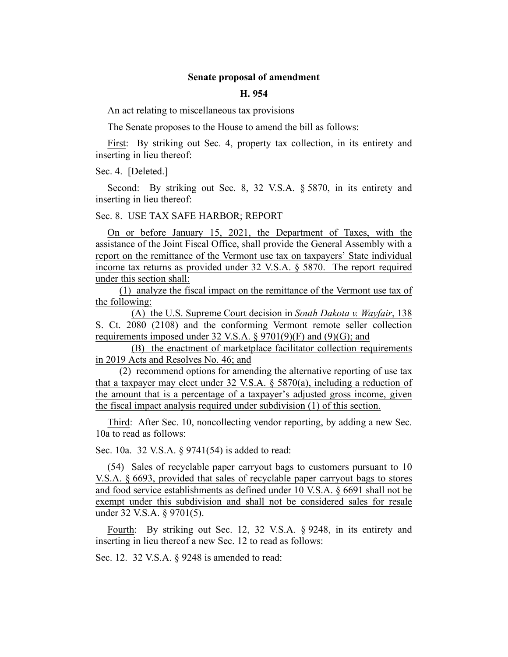# **Senate proposal of amendment**

### **H. 954**

An act relating to miscellaneous tax provisions

The Senate proposes to the House to amend the bill as follows:

First: By striking out Sec. 4, property tax collection, in its entirety and inserting in lieu thereof:

Sec. 4. [Deleted.]

Second: By striking out Sec. 8, 32 V.S.A. § 5870, in its entirety and inserting in lieu thereof:

### Sec. 8. USE TAX SAFE HARBOR; REPORT

On or before January 15, 2021, the Department of Taxes, with the assistance of the Joint Fiscal Office, shall provide the General Assembly with a report on the remittance of the Vermont use tax on taxpayers' State individual income tax returns as provided under 32 V.S.A. § 5870. The report required under this section shall:

(1) analyze the fiscal impact on the remittance of the Vermont use tax of the following:

(A) the U.S. Supreme Court decision in *South Dakota v. Wayfair*, 138 S. Ct. 2080 (2108) and the conforming Vermont remote seller collection requirements imposed under 32 V.S.A.  $\S 9701(9)(F)$  and (9)(G); and

(B) the enactment of marketplace facilitator collection requirements in 2019 Acts and Resolves No. 46; and

(2) recommend options for amending the alternative reporting of use tax that a taxpayer may elect under 32 V.S.A. § 5870(a), including a reduction of the amount that is a percentage of a taxpayer's adjusted gross income, given the fiscal impact analysis required under subdivision (1) of this section.

Third: After Sec. 10, noncollecting vendor reporting, by adding a new Sec. 10a to read as follows:

Sec. 10a. 32 V.S.A. § 9741(54) is added to read:

(54) Sales of recyclable paper carryout bags to customers pursuant to 10 V.S.A. § 6693, provided that sales of recyclable paper carryout bags to stores and food service establishments as defined under 10 V.S.A. § 6691 shall not be exempt under this subdivision and shall not be considered sales for resale under 32 V.S.A. § 9701(5).

Fourth: By striking out Sec. 12, 32 V.S.A. § 9248, in its entirety and inserting in lieu thereof a new Sec. 12 to read as follows:

Sec. 12. 32 V.S.A. § 9248 is amended to read: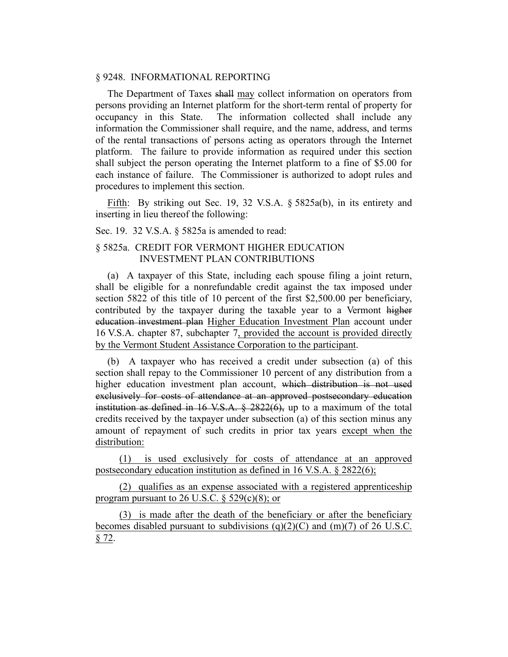# § 9248. INFORMATIONAL REPORTING

The Department of Taxes shall may collect information on operators from persons providing an Internet platform for the short-term rental of property for occupancy in this State. The information collected shall include any information the Commissioner shall require, and the name, address, and terms of the rental transactions of persons acting as operators through the Internet platform. The failure to provide information as required under this section shall subject the person operating the Internet platform to a fine of \$5.00 for each instance of failure. The Commissioner is authorized to adopt rules and procedures to implement this section.

Fifth: By striking out Sec. 19, 32 V.S.A. § 5825a(b), in its entirety and inserting in lieu thereof the following:

Sec. 19. 32 V.S.A. § 5825a is amended to read:

# § 5825a. CREDIT FOR VERMONT HIGHER EDUCATION INVESTMENT PLAN CONTRIBUTIONS

(a) A taxpayer of this State, including each spouse filing a joint return, shall be eligible for a nonrefundable credit against the tax imposed under section 5822 of this title of 10 percent of the first \$2,500.00 per beneficiary, contributed by the taxpayer during the taxable year to a Vermont higher education investment plan Higher Education Investment Plan account under 16 V.S.A. chapter 87, subchapter 7, provided the account is provided directly by the Vermont Student Assistance Corporation to the participant.

(b) A taxpayer who has received a credit under subsection (a) of this section shall repay to the Commissioner 10 percent of any distribution from a higher education investment plan account, which distribution is not used exclusively for costs of attendance at an approved postsecondary education institution as defined in 16 V.S.A. § 2822(6), up to a maximum of the total credits received by the taxpayer under subsection (a) of this section minus any amount of repayment of such credits in prior tax years except when the distribution:

(1) is used exclusively for costs of attendance at an approved postsecondary education institution as defined in 16 V.S.A. § 2822(6);

(2) qualifies as an expense associated with a registered apprenticeship program pursuant to 26 U.S.C.  $\S$  529(c)(8); or

(3) is made after the death of the beneficiary or after the beneficiary becomes disabled pursuant to subdivisions  $(q)(2)(C)$  and  $(m)(7)$  of 26 U.S.C. § 72.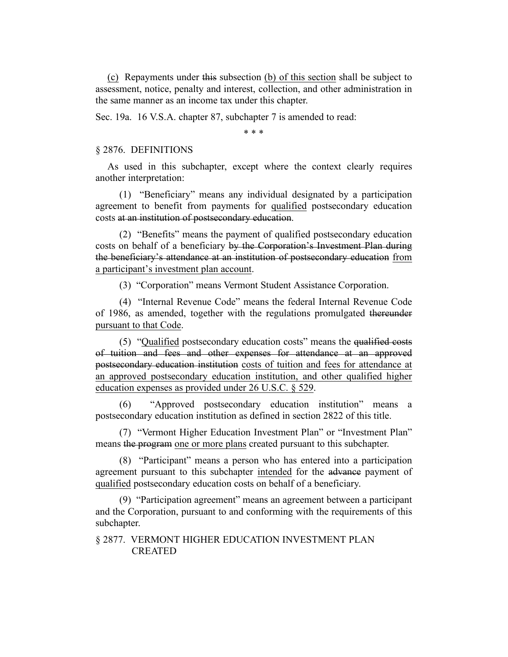(c) Repayments under this subsection (b) of this section shall be subject to assessment, notice, penalty and interest, collection, and other administration in the same manner as an income tax under this chapter.

Sec. 19a. 16 V.S.A. chapter 87, subchapter 7 is amended to read:

\* \* \*

### § 2876. DEFINITIONS

As used in this subchapter, except where the context clearly requires another interpretation:

(1) "Beneficiary" means any individual designated by a participation agreement to benefit from payments for qualified postsecondary education costs at an institution of postsecondary education.

(2) "Benefits" means the payment of qualified postsecondary education costs on behalf of a beneficiary by the Corporation's Investment Plan during the beneficiary's attendance at an institution of postsecondary education from a participant's investment plan account.

(3) "Corporation" means Vermont Student Assistance Corporation.

(4) "Internal Revenue Code" means the federal Internal Revenue Code of 1986, as amended, together with the regulations promulgated thereunder pursuant to that Code.

(5) "Qualified postsecondary education costs" means the qualified costs of tuition and fees and other expenses for attendance at an approved postsecondary education institution costs of tuition and fees for attendance at an approved postsecondary education institution, and other qualified higher education expenses as provided under 26 U.S.C. § 529.

(6) "Approved postsecondary education institution" means a postsecondary education institution as defined in section 2822 of this title.

(7) "Vermont Higher Education Investment Plan" or "Investment Plan" means the program one or more plans created pursuant to this subchapter.

(8) "Participant" means a person who has entered into a participation agreement pursuant to this subchapter intended for the advance payment of qualified postsecondary education costs on behalf of a beneficiary.

(9) "Participation agreement" means an agreement between a participant and the Corporation, pursuant to and conforming with the requirements of this subchapter.

§ 2877. VERMONT HIGHER EDUCATION INVESTMENT PLAN CREATED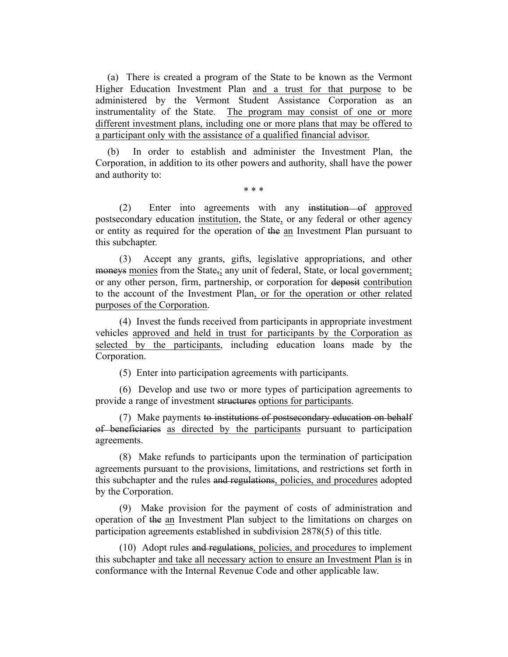(a) There is created a program of the State to be known as the Vermont Higher Education Investment Plan and a trust for that purpose to be administered by the Vermont Student Assistance Corporation as an instrumentality of the State. The program may consist of one or more different investment plans, including one or more plans that may be offered to a participant only with the assistance of a qualified financial advisor.

(b) In order to establish and administer the Investment Plan, the Corporation, in addition to its other powers and authority, shall have the power and authority to:

\* \* \*

(2) Enter into agreements with any institution of approved postsecondary education institution, the State, or any federal or other agency or entity as required for the operation of the an Investment Plan pursuant to this subchapter.

(3) Accept any grants, gifts, legislative appropriations, and other moneys monies from the State<sub>5</sub>; any unit of federal, State, or local government; or any other person, firm, partnership, or corporation for deposit contribution to the account of the Investment Plan, or for the operation or other related purposes of the Corporation.

(4) Invest the funds received from participants in appropriate investment vehicles approved and held in trust for participants by the Corporation as selected by the participants, including education loans made by the Corporation.

(5) Enter into participation agreements with participants.

(6) Develop and use two or more types of participation agreements to provide a range of investment structures options for participants.

(7) Make payments to institutions of postsecondary education on behalf of beneficiaries as directed by the participants pursuant to participation agreements.

(8) Make refunds to participants upon the termination of participation agreements pursuant to the provisions, limitations, and restrictions set forth in this subchapter and the rules and regulations, policies, and procedures adopted by the Corporation.

(9) Make provision for the payment of costs of administration and operation of the an Investment Plan subject to the limitations on charges on participation agreements established in subdivision 2878(5) of this title.

(10) Adopt rules and regulations, policies, and procedures to implement this subchapter and take all necessary action to ensure an Investment Plan is in conformance with the Internal Revenue Code and other applicable law.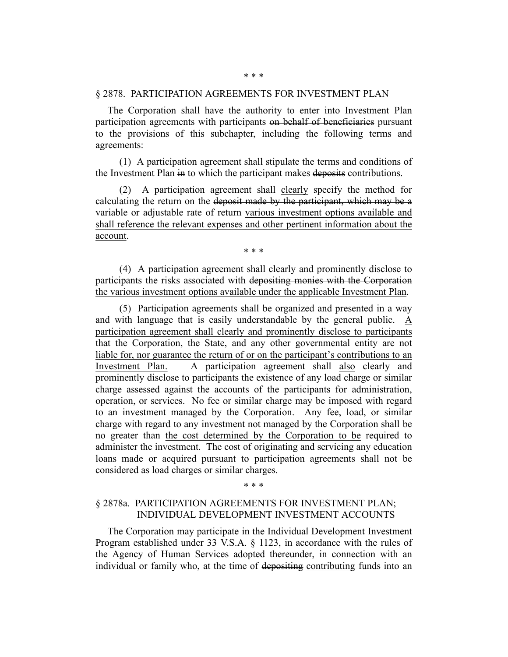### § 2878. PARTICIPATION AGREEMENTS FOR INVESTMENT PLAN

The Corporation shall have the authority to enter into Investment Plan participation agreements with participants on behalf of beneficiaries pursuant to the provisions of this subchapter, including the following terms and agreements:

(1) A participation agreement shall stipulate the terms and conditions of the Investment Plan in to which the participant makes deposits contributions.

(2) A participation agreement shall clearly specify the method for calculating the return on the deposit made by the participant, which may be a variable or adjustable rate of return various investment options available and shall reference the relevant expenses and other pertinent information about the account.

\* \* \*

(4) A participation agreement shall clearly and prominently disclose to participants the risks associated with depositing monies with the Corporation the various investment options available under the applicable Investment Plan.

(5) Participation agreements shall be organized and presented in a way and with language that is easily understandable by the general public. A participation agreement shall clearly and prominently disclose to participants that the Corporation, the State, and any other governmental entity are not liable for, nor guarantee the return of or on the participant's contributions to an Investment Plan. A participation agreement shall also clearly and prominently disclose to participants the existence of any load charge or similar charge assessed against the accounts of the participants for administration, operation, or services. No fee or similar charge may be imposed with regard to an investment managed by the Corporation. Any fee, load, or similar charge with regard to any investment not managed by the Corporation shall be no greater than the cost determined by the Corporation to be required to administer the investment. The cost of originating and servicing any education loans made or acquired pursuant to participation agreements shall not be considered as load charges or similar charges.

# § 2878a. PARTICIPATION AGREEMENTS FOR INVESTMENT PLAN; INDIVIDUAL DEVELOPMENT INVESTMENT ACCOUNTS

\* \* \*

The Corporation may participate in the Individual Development Investment Program established under 33 V.S.A. § 1123, in accordance with the rules of the Agency of Human Services adopted thereunder, in connection with an individual or family who, at the time of depositing contributing funds into an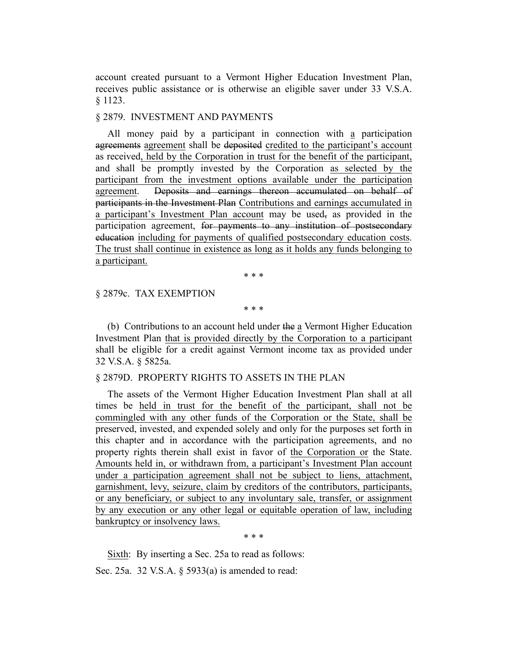account created pursuant to a Vermont Higher Education Investment Plan, receives public assistance or is otherwise an eligible saver under 33 V.S.A. § 1123.

#### § 2879. INVESTMENT AND PAYMENTS

All money paid by a participant in connection with a participation agreements agreement shall be deposited credited to the participant's account as received, held by the Corporation in trust for the benefit of the participant, and shall be promptly invested by the Corporation as selected by the participant from the investment options available under the participation agreement. Deposits and earnings thereon accumulated on behalf of participants in the Investment Plan Contributions and earnings accumulated in a participant's Investment Plan account may be used, as provided in the participation agreement, for payments to any institution of postsecondary education including for payments of qualified postsecondary education costs. The trust shall continue in existence as long as it holds any funds belonging to a participant.

\* \* \*

#### § 2879c. TAX EXEMPTION

\* \* \*

(b) Contributions to an account held under the a Vermont Higher Education Investment Plan that is provided directly by the Corporation to a participant shall be eligible for a credit against Vermont income tax as provided under 32 V.S.A. § 5825a.

#### § 2879D. PROPERTY RIGHTS TO ASSETS IN THE PLAN

The assets of the Vermont Higher Education Investment Plan shall at all times be held in trust for the benefit of the participant, shall not be commingled with any other funds of the Corporation or the State, shall be preserved, invested, and expended solely and only for the purposes set forth in this chapter and in accordance with the participation agreements, and no property rights therein shall exist in favor of the Corporation or the State. Amounts held in, or withdrawn from, a participant's Investment Plan account under a participation agreement shall not be subject to liens, attachment, garnishment, levy, seizure, claim by creditors of the contributors, participants, or any beneficiary, or subject to any involuntary sale, transfer, or assignment by any execution or any other legal or equitable operation of law, including bankruptcy or insolvency laws.

\* \* \*

Sixth: By inserting a Sec. 25a to read as follows:

Sec. 25a. 32 V.S.A. § 5933(a) is amended to read: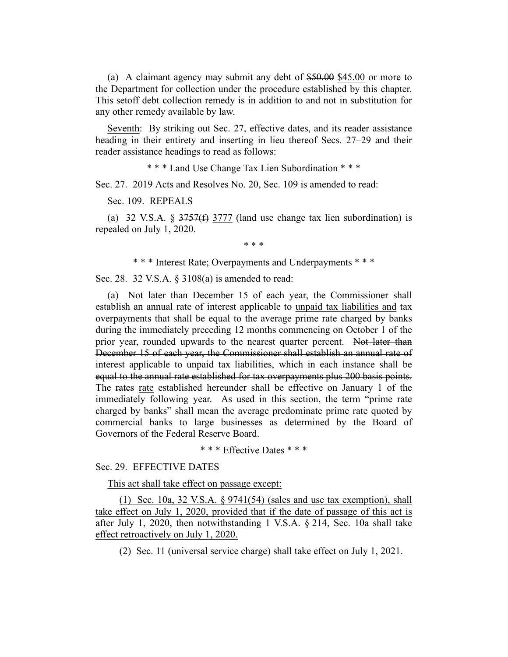(a) A claimant agency may submit any debt of \$50.00 \$45.00 or more to the Department for collection under the procedure established by this chapter. This setoff debt collection remedy is in addition to and not in substitution for any other remedy available by law.

Seventh: By striking out Sec. 27, effective dates, and its reader assistance heading in their entirety and inserting in lieu thereof Secs. 27–29 and their reader assistance headings to read as follows:

\* \* \* Land Use Change Tax Lien Subordination \* \* \*

Sec. 27. 2019 Acts and Resolves No. 20, Sec. 109 is amended to read:

Sec. 109. REPEALS

(a) 32 V.S.A.  $\S 3757(f) 3777$  (land use change tax lien subordination) is repealed on July 1, 2020.

\* \* \*

\* \* \* Interest Rate; Overpayments and Underpayments \* \* \*

Sec. 28. 32 V.S.A. § 3108(a) is amended to read:

(a) Not later than December 15 of each year, the Commissioner shall establish an annual rate of interest applicable to unpaid tax liabilities and tax overpayments that shall be equal to the average prime rate charged by banks during the immediately preceding 12 months commencing on October 1 of the prior year, rounded upwards to the nearest quarter percent. Not later than December 15 of each year, the Commissioner shall establish an annual rate of interest applicable to unpaid tax liabilities, which in each instance shall be equal to the annual rate established for tax overpayments plus 200 basis points. The rates rate established hereunder shall be effective on January 1 of the immediately following year. As used in this section, the term "prime rate charged by banks" shall mean the average predominate prime rate quoted by commercial banks to large businesses as determined by the Board of Governors of the Federal Reserve Board.

\* \* \* Effective Dates \* \* \*

# Sec. 29. EFFECTIVE DATES

This act shall take effect on passage except:

(1) Sec. 10a, 32 V.S.A. § 9741(54) (sales and use tax exemption), shall take effect on July 1, 2020, provided that if the date of passage of this act is after July 1, 2020, then notwithstanding 1 V.S.A. § 214, Sec. 10a shall take effect retroactively on July 1, 2020.

(2) Sec. 11 (universal service charge) shall take effect on July 1, 2021.